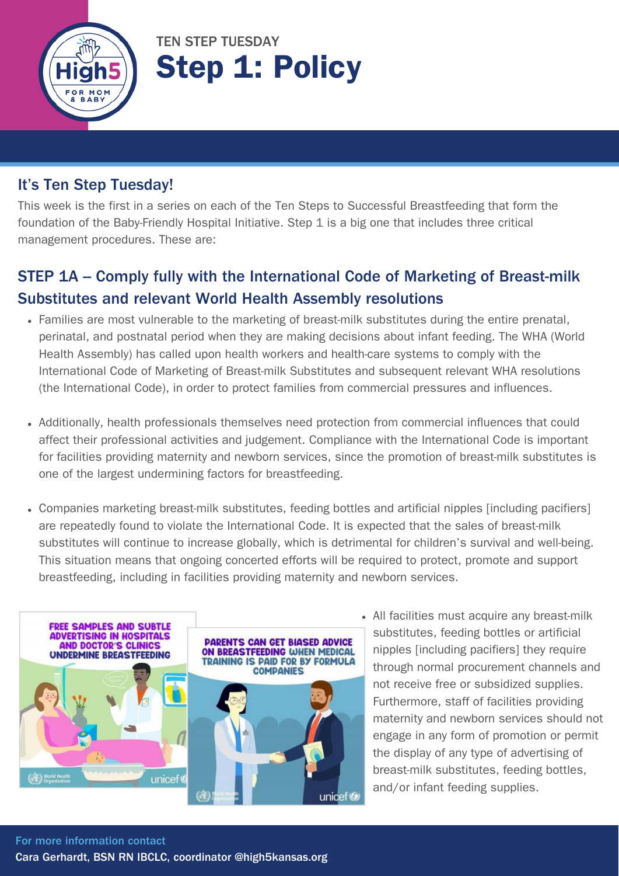

TEN STEP TUESDAY Step 1: Policy

### It's Ten Step Tuesday!

This week is the first in a series on each of the Ten Steps to Successful Breastfeeding that form the foundation of the Baby-Friendly Hospital Initiative. Step 1 is a big one that includes three critical management procedures. These are:

### STEP 1A – Comply fully with the International Code of Marketing of Breast-milk Substitutes and relevant World Health Assembly resolutions

- Families are most vulnerable to the marketing of breast-milk substitutes during the entire prenatal, perinatal, and postnatal period when they are making decisions about infant feeding. The WHA (World Health Assembly) has called upon health workers and health-care systems to comply with the International Code of Marketing of Breast-milk Substitutes and subsequent relevant WHA resolutions (the International Code), in order to protect families from commercial pressures and influences.
- Additionally, health professionals themselves need protection from commercial influences that could affect their professional activities and judgement. Compliance with the International Code is important for facilities providing maternity and newborn services, since the promotion of breast-milk substitutes is one of the largest undermining factors for breastfeeding.
- Companies marketing breast-milk substitutes, feeding bottles and artificial nipples [including pacifiers] are repeatedly found to violate the International Code. It is expected that the sales of breast-milk substitutes will continue to increase globally, which is detrimental for children's survival and well-being. This situation means that ongoing concerted efforts will be required to protect, promote and support breastfeeding, including in facilities providing maternity and newborn services.



All facilities must acquire any breast-milk substitutes, feeding bottles or artificial nipples [including pacifiers] they require through normal procurement channels and not receive free or subsidized supplies. Furthermore, staff of facilities providing maternity and newborn services should not engage in any form of promotion or permit the display of any type of advertising of breast-milk substitutes, feeding bottles, and/or infant feeding supplies.